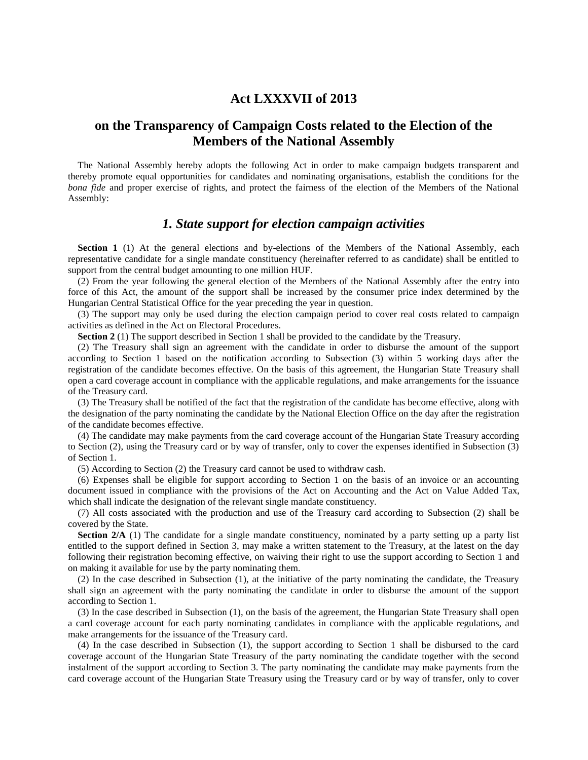### **Act LXXXVII of 2013**

# **on the Transparency of Campaign Costs related to the Election of the Members of the National Assembly**

The National Assembly hereby adopts the following Act in order to make campaign budgets transparent and thereby promote equal opportunities for candidates and nominating organisations, establish the conditions for the *bona fide* and proper exercise of rights, and protect the fairness of the election of the Members of the National Assembly:

#### *1. State support for election campaign activities*

**Section 1** (1) At the general elections and by-elections of the Members of the National Assembly, each representative candidate for a single mandate constituency (hereinafter referred to as candidate) shall be entitled to support from the central budget amounting to one million HUF.

(2) From the year following the general election of the Members of the National Assembly after the entry into force of this Act, the amount of the support shall be increased by the consumer price index determined by the Hungarian Central Statistical Office for the year preceding the year in question.

(3) The support may only be used during the election campaign period to cover real costs related to campaign activities as defined in the Act on Electoral Procedures.

**Section 2** (1) The support described in Section 1 shall be provided to the candidate by the Treasury.

(2) The Treasury shall sign an agreement with the candidate in order to disburse the amount of the support according to Section 1 based on the notification according to Subsection (3) within 5 working days after the registration of the candidate becomes effective. On the basis of this agreement, the Hungarian State Treasury shall open a card coverage account in compliance with the applicable regulations, and make arrangements for the issuance of the Treasury card.

(3) The Treasury shall be notified of the fact that the registration of the candidate has become effective, along with the designation of the party nominating the candidate by the National Election Office on the day after the registration of the candidate becomes effective.

(4) The candidate may make payments from the card coverage account of the Hungarian State Treasury according to Section (2), using the Treasury card or by way of transfer, only to cover the expenses identified in Subsection (3) of Section 1.

(5) According to Section (2) the Treasury card cannot be used to withdraw cash.

(6) Expenses shall be eligible for support according to Section 1 on the basis of an invoice or an accounting document issued in compliance with the provisions of the Act on Accounting and the Act on Value Added Tax, which shall indicate the designation of the relevant single mandate constituency.

(7) All costs associated with the production and use of the Treasury card according to Subsection (2) shall be covered by the State.

**Section 2/A** (1) The candidate for a single mandate constituency, nominated by a party setting up a party list entitled to the support defined in Section 3, may make a written statement to the Treasury, at the latest on the day following their registration becoming effective, on waiving their right to use the support according to Section 1 and on making it available for use by the party nominating them.

(2) In the case described in Subsection (1), at the initiative of the party nominating the candidate, the Treasury shall sign an agreement with the party nominating the candidate in order to disburse the amount of the support according to Section 1.

(3) In the case described in Subsection (1), on the basis of the agreement, the Hungarian State Treasury shall open a card coverage account for each party nominating candidates in compliance with the applicable regulations, and make arrangements for the issuance of the Treasury card.

(4) In the case described in Subsection (1), the support according to Section 1 shall be disbursed to the card coverage account of the Hungarian State Treasury of the party nominating the candidate together with the second instalment of the support according to Section 3. The party nominating the candidate may make payments from the card coverage account of the Hungarian State Treasury using the Treasury card or by way of transfer, only to cover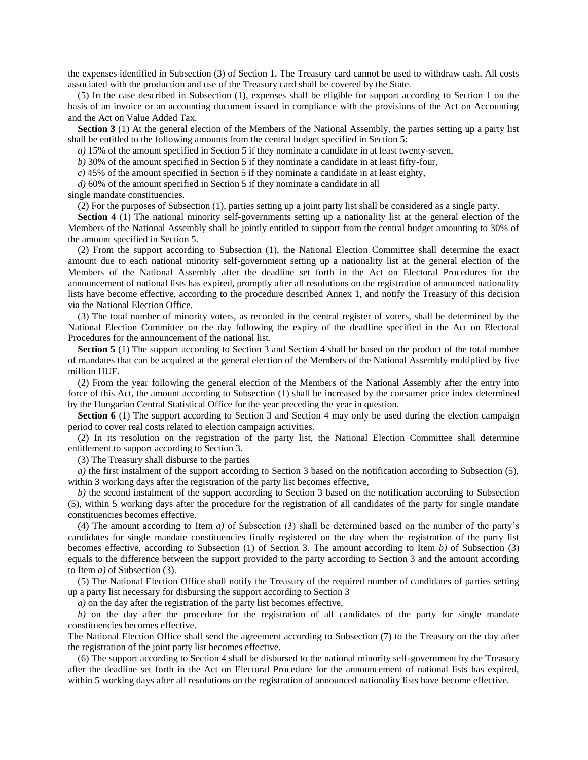the expenses identified in Subsection (3) of Section 1. The Treasury card cannot be used to withdraw cash. All costs associated with the production and use of the Treasury card shall be covered by the State.

(5) In the case described in Subsection (1), expenses shall be eligible for support according to Section 1 on the basis of an invoice or an accounting document issued in compliance with the provisions of the Act on Accounting and the Act on Value Added Tax.

**Section 3** (1) At the general election of the Members of the National Assembly, the parties setting up a party list shall be entitled to the following amounts from the central budget specified in Section 5:

*a)* 15% of the amount specified in Section 5 if they nominate a candidate in at least twenty-seven,

*b)* 30% of the amount specified in Section 5 if they nominate a candidate in at least fifty-four,

*c)* 45% of the amount specified in Section 5 if they nominate a candidate in at least eighty,

*d)* 60% of the amount specified in Section 5 if they nominate a candidate in all

single mandate constituencies.

(2) For the purposes of Subsection (1), parties setting up a joint party list shall be considered as a single party.

**Section 4** (1) The national minority self-governments setting up a nationality list at the general election of the Members of the National Assembly shall be jointly entitled to support from the central budget amounting to 30% of the amount specified in Section 5.

(2) From the support according to Subsection (1), the National Election Committee shall determine the exact amount due to each national minority self-government setting up a nationality list at the general election of the Members of the National Assembly after the deadline set forth in the Act on Electoral Procedures for the announcement of national lists has expired, promptly after all resolutions on the registration of announced nationality lists have become effective, according to the procedure described Annex 1, and notify the Treasury of this decision via the National Election Office.

(3) The total number of minority voters, as recorded in the central register of voters, shall be determined by the National Election Committee on the day following the expiry of the deadline specified in the Act on Electoral Procedures for the announcement of the national list.

**Section 5** (1) The support according to Section 3 and Section 4 shall be based on the product of the total number of mandates that can be acquired at the general election of the Members of the National Assembly multiplied by five million HUF.

(2) From the year following the general election of the Members of the National Assembly after the entry into force of this Act, the amount according to Subsection (1) shall be increased by the consumer price index determined by the Hungarian Central Statistical Office for the year preceding the year in question.

**Section 6** (1) The support according to Section 3 and Section 4 may only be used during the election campaign period to cover real costs related to election campaign activities.

(2) In its resolution on the registration of the party list, the National Election Committee shall determine entitlement to support according to Section 3.

(3) The Treasury shall disburse to the parties

*a)* the first instalment of the support according to Section 3 based on the notification according to Subsection (5), within 3 working days after the registration of the party list becomes effective,

*b*) the second instalment of the support according to Section 3 based on the notification according to Subsection (5), within 5 working days after the procedure for the registration of all candidates of the party for single mandate constituencies becomes effective.

(4) The amount according to Item *a)* of Subsection (3) shall be determined based on the number of the party's candidates for single mandate constituencies finally registered on the day when the registration of the party list becomes effective, according to Subsection (1) of Section 3. The amount according to Item *b)* of Subsection (3) equals to the difference between the support provided to the party according to Section 3 and the amount according to Item *a)* of Subsection (3).

(5) The National Election Office shall notify the Treasury of the required number of candidates of parties setting up a party list necessary for disbursing the support according to Section 3

*a)* on the day after the registration of the party list becomes effective,

*b)* on the day after the procedure for the registration of all candidates of the party for single mandate constituencies becomes effective.

The National Election Office shall send the agreement according to Subsection (7) to the Treasury on the day after the registration of the joint party list becomes effective.

(6) The support according to Section 4 shall be disbursed to the national minority self-government by the Treasury after the deadline set forth in the Act on Electoral Procedure for the announcement of national lists has expired, within 5 working days after all resolutions on the registration of announced nationality lists have become effective.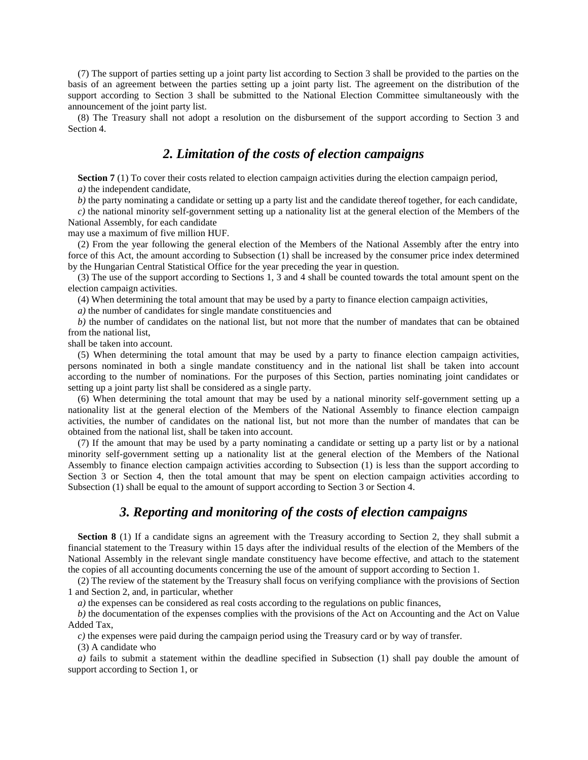(7) The support of parties setting up a joint party list according to Section 3 shall be provided to the parties on the basis of an agreement between the parties setting up a joint party list. The agreement on the distribution of the support according to Section 3 shall be submitted to the National Election Committee simultaneously with the announcement of the joint party list.

(8) The Treasury shall not adopt a resolution on the disbursement of the support according to Section 3 and Section 4.

# *2. Limitation of the costs of election campaigns*

**Section 7** (1) To cover their costs related to election campaign activities during the election campaign period, *a)* the independent candidate,

*b*) the party nominating a candidate or setting up a party list and the candidate thereof together, for each candidate,

*c)* the national minority self-government setting up a nationality list at the general election of the Members of the National Assembly, for each candidate

may use a maximum of five million HUF.

(2) From the year following the general election of the Members of the National Assembly after the entry into force of this Act, the amount according to Subsection (1) shall be increased by the consumer price index determined by the Hungarian Central Statistical Office for the year preceding the year in question.

(3) The use of the support according to Sections 1, 3 and 4 shall be counted towards the total amount spent on the election campaign activities.

(4) When determining the total amount that may be used by a party to finance election campaign activities,

*a)* the number of candidates for single mandate constituencies and

*b*) the number of candidates on the national list, but not more that the number of mandates that can be obtained from the national list,

shall be taken into account.

(5) When determining the total amount that may be used by a party to finance election campaign activities, persons nominated in both a single mandate constituency and in the national list shall be taken into account according to the number of nominations. For the purposes of this Section, parties nominating joint candidates or setting up a joint party list shall be considered as a single party.

(6) When determining the total amount that may be used by a national minority self-government setting up a nationality list at the general election of the Members of the National Assembly to finance election campaign activities, the number of candidates on the national list, but not more than the number of mandates that can be obtained from the national list, shall be taken into account.

(7) If the amount that may be used by a party nominating a candidate or setting up a party list or by a national minority self-government setting up a nationality list at the general election of the Members of the National Assembly to finance election campaign activities according to Subsection (1) is less than the support according to Section 3 or Section 4, then the total amount that may be spent on election campaign activities according to Subsection (1) shall be equal to the amount of support according to Section 3 or Section 4.

# *3. Reporting and monitoring of the costs of election campaigns*

**Section 8** (1) If a candidate signs an agreement with the Treasury according to Section 2, they shall submit a financial statement to the Treasury within 15 days after the individual results of the election of the Members of the National Assembly in the relevant single mandate constituency have become effective, and attach to the statement the copies of all accounting documents concerning the use of the amount of support according to Section 1.

(2) The review of the statement by the Treasury shall focus on verifying compliance with the provisions of Section 1 and Section 2, and, in particular, whether

*a*) the expenses can be considered as real costs according to the regulations on public finances,

*b)* the documentation of the expenses complies with the provisions of the Act on Accounting and the Act on Value Added Tax,

*c)* the expenses were paid during the campaign period using the Treasury card or by way of transfer.

(3) A candidate who

*a)* fails to submit a statement within the deadline specified in Subsection (1) shall pay double the amount of support according to Section 1, or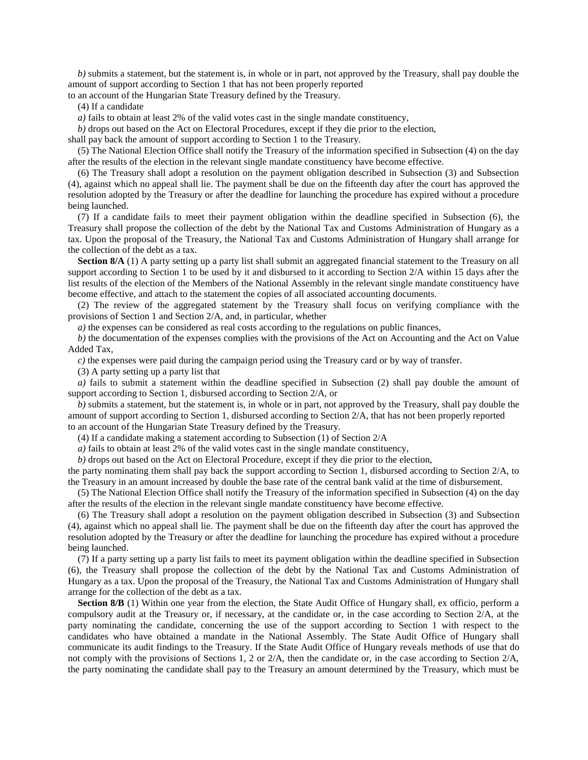*b)* submits a statement, but the statement is, in whole or in part, not approved by the Treasury, shall pay double the amount of support according to Section 1 that has not been properly reported

to an account of the Hungarian State Treasury defined by the Treasury.

(4) If a candidate

*a)* fails to obtain at least 2% of the valid votes cast in the single mandate constituency,

*b)* drops out based on the Act on Electoral Procedures, except if they die prior to the election,

shall pay back the amount of support according to Section 1 to the Treasury.

(5) The National Election Office shall notify the Treasury of the information specified in Subsection (4) on the day after the results of the election in the relevant single mandate constituency have become effective.

(6) The Treasury shall adopt a resolution on the payment obligation described in Subsection (3) and Subsection (4), against which no appeal shall lie. The payment shall be due on the fifteenth day after the court has approved the resolution adopted by the Treasury or after the deadline for launching the procedure has expired without a procedure being launched.

(7) If a candidate fails to meet their payment obligation within the deadline specified in Subsection (6), the Treasury shall propose the collection of the debt by the National Tax and Customs Administration of Hungary as a tax. Upon the proposal of the Treasury, the National Tax and Customs Administration of Hungary shall arrange for the collection of the debt as a tax.

**Section 8/A** (1) A party setting up a party list shall submit an aggregated financial statement to the Treasury on all support according to Section 1 to be used by it and disbursed to it according to Section 2/A within 15 days after the list results of the election of the Members of the National Assembly in the relevant single mandate constituency have become effective, and attach to the statement the copies of all associated accounting documents.

(2) The review of the aggregated statement by the Treasury shall focus on verifying compliance with the provisions of Section 1 and Section 2/A, and, in particular, whether

*a*) the expenses can be considered as real costs according to the regulations on public finances,

*b)* the documentation of the expenses complies with the provisions of the Act on Accounting and the Act on Value Added Tax,

*c)* the expenses were paid during the campaign period using the Treasury card or by way of transfer.

(3) A party setting up a party list that

*a)* fails to submit a statement within the deadline specified in Subsection (2) shall pay double the amount of support according to Section 1, disbursed according to Section 2/A, or

*b)* submits a statement, but the statement is, in whole or in part, not approved by the Treasury, shall pay double the amount of support according to Section 1, disbursed according to Section 2/A, that has not been properly reported to an account of the Hungarian State Treasury defined by the Treasury.

(4) If a candidate making a statement according to Subsection (1) of Section 2/A

*a)* fails to obtain at least 2% of the valid votes cast in the single mandate constituency,

*b)* drops out based on the Act on Electoral Procedure, except if they die prior to the election,

the party nominating them shall pay back the support according to Section 1, disbursed according to Section 2/A, to the Treasury in an amount increased by double the base rate of the central bank valid at the time of disbursement.

(5) The National Election Office shall notify the Treasury of the information specified in Subsection (4) on the day after the results of the election in the relevant single mandate constituency have become effective.

(6) The Treasury shall adopt a resolution on the payment obligation described in Subsection (3) and Subsection (4), against which no appeal shall lie. The payment shall be due on the fifteenth day after the court has approved the resolution adopted by the Treasury or after the deadline for launching the procedure has expired without a procedure being launched.

(7) If a party setting up a party list fails to meet its payment obligation within the deadline specified in Subsection (6), the Treasury shall propose the collection of the debt by the National Tax and Customs Administration of Hungary as a tax. Upon the proposal of the Treasury, the National Tax and Customs Administration of Hungary shall arrange for the collection of the debt as a tax.

**Section 8/B** (1) Within one year from the election, the State Audit Office of Hungary shall, ex officio, perform a compulsory audit at the Treasury or, if necessary, at the candidate or, in the case according to Section 2/A, at the party nominating the candidate, concerning the use of the support according to Section 1 with respect to the candidates who have obtained a mandate in the National Assembly. The State Audit Office of Hungary shall communicate its audit findings to the Treasury. If the State Audit Office of Hungary reveals methods of use that do not comply with the provisions of Sections 1, 2 or 2/A, then the candidate or, in the case according to Section 2/A, the party nominating the candidate shall pay to the Treasury an amount determined by the Treasury, which must be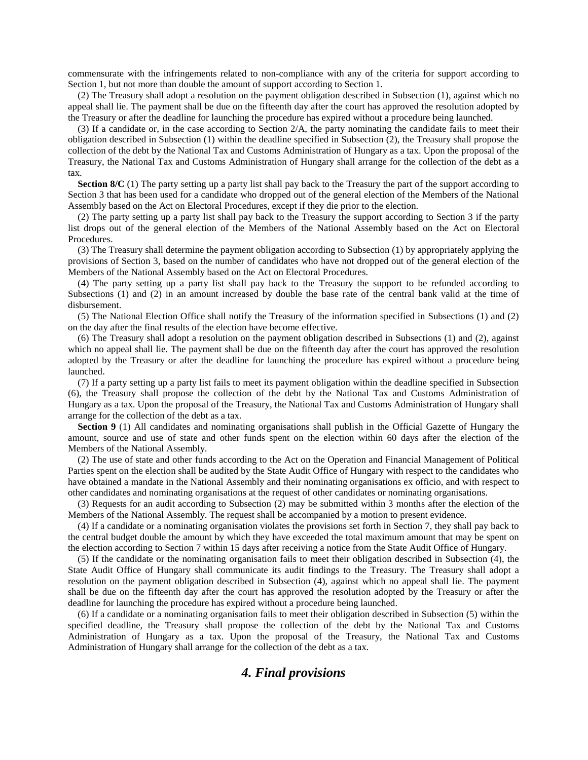commensurate with the infringements related to non-compliance with any of the criteria for support according to Section 1, but not more than double the amount of support according to Section 1.

(2) The Treasury shall adopt a resolution on the payment obligation described in Subsection (1), against which no appeal shall lie. The payment shall be due on the fifteenth day after the court has approved the resolution adopted by the Treasury or after the deadline for launching the procedure has expired without a procedure being launched.

(3) If a candidate or, in the case according to Section 2/A, the party nominating the candidate fails to meet their obligation described in Subsection (1) within the deadline specified in Subsection (2), the Treasury shall propose the collection of the debt by the National Tax and Customs Administration of Hungary as a tax. Upon the proposal of the Treasury, the National Tax and Customs Administration of Hungary shall arrange for the collection of the debt as a tax.

**Section 8/C** (1) The party setting up a party list shall pay back to the Treasury the part of the support according to Section 3 that has been used for a candidate who dropped out of the general election of the Members of the National Assembly based on the Act on Electoral Procedures, except if they die prior to the election.

(2) The party setting up a party list shall pay back to the Treasury the support according to Section 3 if the party list drops out of the general election of the Members of the National Assembly based on the Act on Electoral Procedures.

(3) The Treasury shall determine the payment obligation according to Subsection (1) by appropriately applying the provisions of Section 3, based on the number of candidates who have not dropped out of the general election of the Members of the National Assembly based on the Act on Electoral Procedures.

(4) The party setting up a party list shall pay back to the Treasury the support to be refunded according to Subsections (1) and (2) in an amount increased by double the base rate of the central bank valid at the time of disbursement.

(5) The National Election Office shall notify the Treasury of the information specified in Subsections (1) and (2) on the day after the final results of the election have become effective.

(6) The Treasury shall adopt a resolution on the payment obligation described in Subsections (1) and (2), against which no appeal shall lie. The payment shall be due on the fifteenth day after the court has approved the resolution adopted by the Treasury or after the deadline for launching the procedure has expired without a procedure being launched.

(7) If a party setting up a party list fails to meet its payment obligation within the deadline specified in Subsection (6), the Treasury shall propose the collection of the debt by the National Tax and Customs Administration of Hungary as a tax. Upon the proposal of the Treasury, the National Tax and Customs Administration of Hungary shall arrange for the collection of the debt as a tax.

**Section 9** (1) All candidates and nominating organisations shall publish in the Official Gazette of Hungary the amount, source and use of state and other funds spent on the election within 60 days after the election of the Members of the National Assembly.

(2) The use of state and other funds according to the Act on the Operation and Financial Management of Political Parties spent on the election shall be audited by the State Audit Office of Hungary with respect to the candidates who have obtained a mandate in the National Assembly and their nominating organisations ex officio, and with respect to other candidates and nominating organisations at the request of other candidates or nominating organisations.

(3) Requests for an audit according to Subsection (2) may be submitted within 3 months after the election of the Members of the National Assembly. The request shall be accompanied by a motion to present evidence.

(4) If a candidate or a nominating organisation violates the provisions set forth in Section 7, they shall pay back to the central budget double the amount by which they have exceeded the total maximum amount that may be spent on the election according to Section 7 within 15 days after receiving a notice from the State Audit Office of Hungary.

(5) If the candidate or the nominating organisation fails to meet their obligation described in Subsection (4), the State Audit Office of Hungary shall communicate its audit findings to the Treasury. The Treasury shall adopt a resolution on the payment obligation described in Subsection (4), against which no appeal shall lie. The payment shall be due on the fifteenth day after the court has approved the resolution adopted by the Treasury or after the deadline for launching the procedure has expired without a procedure being launched.

(6) If a candidate or a nominating organisation fails to meet their obligation described in Subsection (5) within the specified deadline, the Treasury shall propose the collection of the debt by the National Tax and Customs Administration of Hungary as a tax. Upon the proposal of the Treasury, the National Tax and Customs Administration of Hungary shall arrange for the collection of the debt as a tax.

### *4. Final provisions*